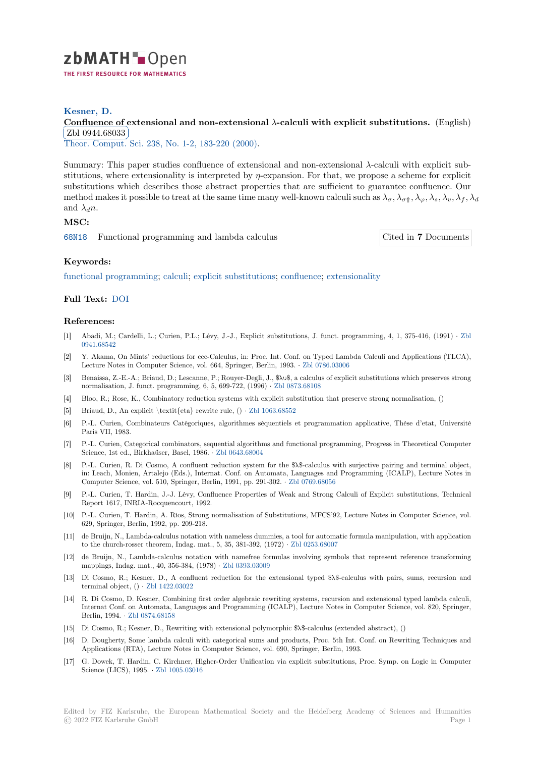

### **Kesner, D.**

# **[C](https://zbmath.org/)onfluence of extensional and non-extensional** *λ***-calculi with explicit substitutions. (English) <b>with and**  $\overline{Q}$ Zbl 0944.68033

✂ ✁ Theor. Comput. Sci. 238, No. 1-2, 183-220 (2000).

[Summary: This paper studies confluence of extensional and non-extensional](https://zbmath.org/0944.68033) *λ*-calculi with explicit sub[stitutions, where e](https://zbmath.org/0944.68033)xtensionality is interpreted by *η*-expansion. For that, we propose a scheme for explicit [substitutions which](https://zbmath.org/journals/?q=se:735) [describes those abstract prop](https://zbmath.org/?q=in:69295)erties that are sufficient to guarantee confluence. Our method makes it possible to treat at the same time many well-known calculi such as  $\lambda_{\sigma}$ ,  $\lambda_{\sigma}$ ,  $\lambda_{\sigma}$ ,  $\lambda_{s}$ ,  $\lambda_{v}$ ,  $\lambda_{f}$ ,  $\lambda_{d}$ and  $\lambda_d n$ .

# **MSC:**

68N18 Functional programming and lambda calculus Cited in **7** Documents

### **Keywords:**

[functio](https://zbmath.org/classification/?q=cc:68N18)nal programming; calculi; explicit substitutions; confluence; extensionality

### **Full Text:** DOI

#### **[References:](https://zbmath.org/?q=ut:functional+programming)**

- [1] Abadi, M[.; Car](https://dx.doi.org/10.1016/S0304-3975(98)00166-2)delli, L.; Curien, P.L.; Lévy, J.-J., Explicit substitutions, J. funct. programming, 4, 1, 375-416, (1991) *·* Zbl 0941.68542
- [2] Y. Akama, On Mints' reductions for ccc-Calculus, in: Proc. Int. Conf. on Typed Lambda Calculi and Applications (TLCA), Lecture Notes in Computer Science, vol. 664, Springer, Berlin, 1993. *·* Zbl 0786.03006
- [3] Benaissa, Z.-E.-A.; Briaud, D.; Lescanne, P.; Rouyer-Degli, J., \$λυ\$, a calculus of explicit substitutions which preserves str[ong](https://zbmath.org/0941.68542) [normalisati](https://zbmath.org/0941.68542)on, J. funct. programming, 6, 5, 699-722, (1996) *·* Zbl 0873.68108
- [4] Bloo, R.; Rose, K., Combinatory reduction systems with explicit substitution that preserve strong normalisation, ()
- [5] Briaud, D., An explicit \textit{eta} rewrite rule, () *·* Zbl 1063.68552
- [6] P.-L. Curien, Combinateurs Catégoriques, algorithmes séqu[entiels et progr](https://zbmath.org/0873.68108)ammation applicative, Thèse d'etat, Université Paris VII, 1983.
- [7] P.-L. Curien, Categorical combinators, sequential algorithms and functional programming, Progress in Theoretical Computer Science, 1st ed., Birkhaüser, Basel, 1986. *·* Zbl 0643.6[8004](https://zbmath.org/1063.68552)
- [8] P.-L. Curien, R. Di Cosmo, A confluent reduction system for the \$ $\lambda$ \$-calculus with surjective pairing and terminal object, in: Leach, Monien, Artalejo (Eds.), Internat. Conf. on Automata, Languages and Programming (ICALP), Lecture Notes in Computer Science, vol. 510, Springer, Berlin, 1991, pp. 291-302. *·* Zbl 0769.68056
- [9] P.-L. Curien, T. Hardin, J.-J. Lévy, Confl[uence Propertie](https://zbmath.org/0643.68004)s of Weak and Strong Calculi of Explicit substitutions, Technical Report 1617, INRIA-Rocquencourt, 1992.
- [10] P.-L. Curien, T. Hardin, A. Rı́os, Strong normalisation of Substitutions, MFCS'92, Lecture Notes in Computer Science, vol. 629, Springer, Berlin, 1992, pp. 209-218.
- [11] de Bruijn, N., Lambda-calculus notation with nameless dummies, a tool for automatic formula manipulation, with application to the church-rosser theorem, Indag. mat., 5, 35, 381-392, (1972) *·* Zbl 0253.68007
- [12] de Bruijn, N., Lambda-calculus notation with namefree formulas involving symbols that represent reference transforming mappings, Indag. mat., 40, 356-384, (1978) *·* Zbl 0393.03009
- [13] Di Cosmo, R.; Kesner, D., A confluent reduction for the extensional typed \$ $\lambda$ \$-calculus with pairs, sums, recursion and terminal object, () *·* Zbl 1422.03022
- [14] R. Di Cosmo, D. Kesner, Combining first order algebraic rewriting systems, recursion and extensional typed lambda calculi, Internat Conf. on Automata, Languages and [Programming \(](https://zbmath.org/0393.03009)ICALP), Lecture Notes in Computer Science, vol. 820, Springer, Berlin, 1994. *·* Zbl 0874.68158
- [15] Di Cosmo, R.; Kesn[er, D., Rewritin](https://zbmath.org/1422.03022)g with extensional polymorphic \$λ\$-calculus (extended abstract), ()
- [16] D. Dougherty, Some lambda calculi with categorical sums and products, Proc. 5th Int. Conf. on Rewriting Techniques and Applications (RTA), Lecture Notes in Computer Science, vol. 690, Springer, Berlin, 1993.
- [17] G. Dowek, T. [Hardin, C. Kirc](https://zbmath.org/0874.68158)hner, Higher-Order Unification via explicit substitutions, Proc. Symp. on Logic in Computer Science (LICS), 1995. *·* Zbl 1005.03016